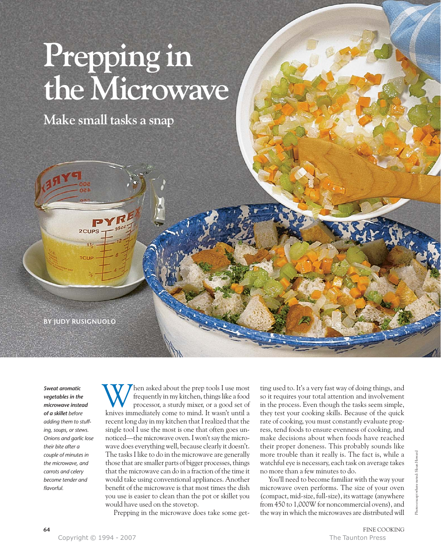# **Prepping in the Microwave**

**Make small tasks a snap** 

**BY JUDY RUSIGNUOLO**

2CUPS

*Sweat aromatic vegetables in the microwave instead of a skillet before adding them to stuffing, soups, or stews. Onions and garlic lose their bite after a couple of minutes in the microwave, and carrots and celery become tender and flavorful.*

hen asked about the prep tools I use most frequently in my kitchen, things like a food processor, a sturdy mixer, or a good set of W hen asked about the prep tools I use most<br>frequently in my kitchen, things like a food<br>processor, a sturdy mixer, or a good set of<br>knives immediately come to mind. It wasn't until a recent long day in my kitchen that I realized that the single tool I use the most is one that often goes unnoticed—the microwave oven. I won't say the microwave does everything well, because clearly it doesn't. The tasks I like to do in the microwave are generally those that are smaller parts of bigger processes, things that the microwave can do in a fraction of the time it would take using conventional appliances. Another benefit of the microwave is that most times the dish you use is easier to clean than the pot or skillet you would have used on the stovetop.

Prepping in the microwave does take some get-

ting used to. It's a very fast way of doing things, and so it requires your total attention and involvement in the process. Even though the tasks seem simple, they test your cooking skills. Because of the quick rate of cooking, you must constantly evaluate progress, tend foods to ensure evenness of cooking, and make decisions about when foods have reached their proper doneness. This probably sounds like more trouble than it really is. The fact is, while a watchful eye is necessary, each task on average takes no more than a few minutes to do.

You'll need to become familiar with the way your microwave oven performs. The size of your oven (compact, mid-size, full-size), its wattage (anywhere from 450 to 1,000W for noncommercial ovens), and the way in which the microwaves are distributed will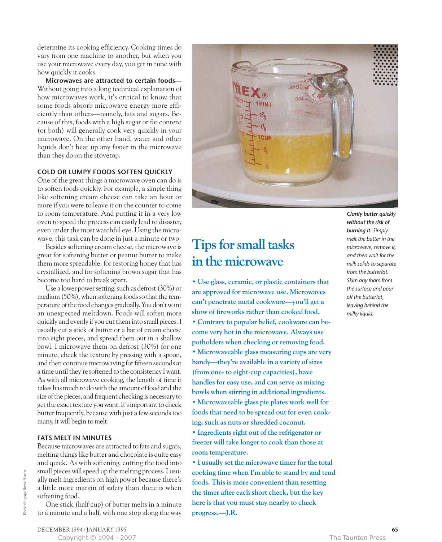determine its cooking efficiency. Cooking times do vary from one machine to another, but when you use your microwave every day, you get in tune with how quickly it cooks.

**Microwaves are attracted to certain foods—** Without going into a long technical explanation of how microwaves work, it's critical to know that some foods absorb microwave energy more efficiently than others—namely, fats and sugars. Because of this, foods with a high sugar or fat content (or both) will generally cook very quickly in your microwave. On the other hand, water and other liquids don't heat up any faster in the microwave than they do on the stovetop.

### **COLD OR LUMPY FOODS SOFTEN QUICKLY**

One of the great things a microwave oven can do is to soften foods quickly. For example, a simple thing like softening cream cheese can take an hour or more if you were to leave it on the counter to come to room temperature. And putting it in a very low oven to speed the process can easily lead to disaster, even under the most watchful eye. Using the microwave, this task can be done in just a minute or two.

Besides softening cream cheese, the microwave is great for softening butter or peanut butter to make them more spreadable, for restoring honey that has crystallized, and for softening brown sugar that has become too hard to break apart.

Use a lower power setting, such as defrost (30%) or medium (50%), when softening foods so that the temperature of the food changes gradually. You don't want an unexpected meltdown. Foods will soften more quickly and evenly if you cut them into small pieces. I usually cut a stick of butter or a bar of cream cheese into eight pieces, and spread them out in a shallow bowl. I microwave them on defrost (30%) for one minute, check the texture by pressing with a spoon, and then continue microwaving for fifteen seconds at a time until they're softened to the consistency I want. As with all microwave cooking, the length of time it takes has much to do with the amount of food and the size of the pieces, and frequent checking is necessary to get the exact texture you want. It's important to check butter frequently, because with just a few seconds too many, it will begin to melt.

## **FATS MELT IN MINUTES**

Because microwaves are attracted to fats and sugars, melting things like butter and chocolate is quite easy and quick. As with softening, cutting the food into small pieces will speed up the melting process. I usually melt ingredients on high power because there's a little more margin of safety than there is when softening food.

One stick (half cup) of butter melts in a minute to a minute and a half, with one stop along the way



## **Tips for small tasks in the microwave**

**• Use glass, ceramic, or plastic containers that are approved for microwave use. Microwaves can't penetrate metal cookware—you'll get a show of fireworks rather than cooked food.**

**• Contrary to popular belief, cookware can become very hot in the microwave. Always use potholders when checking or removing food.**

**• Microwaveable glass measuring cups are very handy—they're available in a variety of sizes (from one- to eight-cup capacities), have handles for easy use, and can serve as mixing bowls when stirring in additional ingredients.**

**• Microwaveable glass pie plates work well for foods that need to be spread out for even cooking, such as nuts or shredded coconut.**

**• Ingredients right out of the refrigerator or freezer will take longer to cook than those at room temperature.**

**• I usually set the microwave timer for the total cooking time when I'm able to stand by and tend foods. This is more convenient than resetting the timer after each short check, but the key here is that you must stay nearby to check progress.—J.R.**

*Clarify butter quickly without the risk of burning it. Simply melt the butter in the microwave, remove it, and then wait for the milk solids to separate from the butterfat. Skim any foam from the surface and pour off the butterfat, leaving behind the milky liquid.*